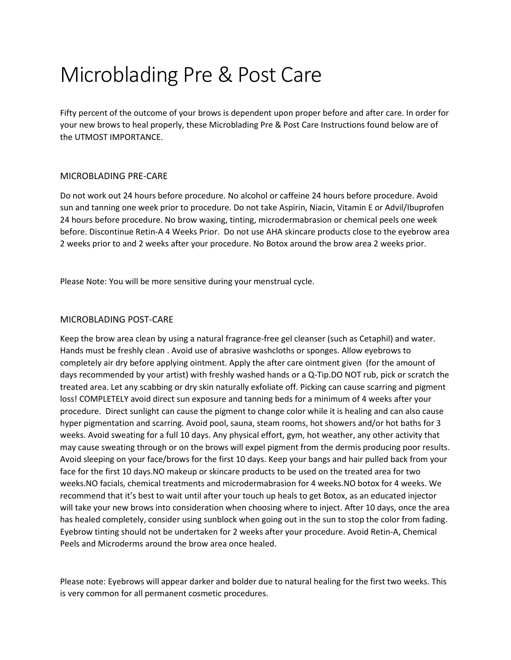# Microblading Pre & Post Care

Fifty percent of the outcome of your brows is dependent upon proper before and after care. In order for your new brows to heal properly, these Microblading Pre & Post Care Instructions found below are of the UTMOST IMPORTANCE.

## MICROBLADING PRE-CARE

Do not work out 24 hours before procedure. No alcohol or caffeine 24 hours before procedure. Avoid sun and tanning one week prior to procedure. Do not take Aspirin, Niacin, Vitamin E or Advil/Ibuprofen 24 hours before procedure. No brow waxing, tinting, microdermabrasion or chemical peels one week before. Discontinue Retin-A 4 Weeks Prior. Do not use AHA skincare products close to the eyebrow area 2 weeks prior to and 2 weeks after your procedure. No Botox around the brow area 2 weeks prior.

Please Note: You will be more sensitive during your menstrual cycle.

## MICROBLADING POST-CARE

Keep the brow area clean by using a natural fragrance-free gel cleanser (such as Cetaphil) and water. Hands must be freshly clean . Avoid use of abrasive washcloths or sponges. Allow eyebrows to completely air dry before applying ointment. Apply the after care ointment given (for the amount of days recommended by your artist) with freshly washed hands or a Q-Tip.DO NOT rub, pick or scratch the treated area. Let any scabbing or dry skin naturally exfoliate off. Picking can cause scarring and pigment loss! COMPLETELY avoid direct sun exposure and tanning beds for a minimum of 4 weeks after your procedure. Direct sunlight can cause the pigment to change color while it is healing and can also cause hyper pigmentation and scarring. Avoid pool, sauna, steam rooms, hot showers and/or hot baths for 3 weeks. Avoid sweating for a full 10 days. Any physical effort, gym, hot weather, any other activity that may cause sweating through or on the brows will expel pigment from the dermis producing poor results. Avoid sleeping on your face/brows for the first 10 days. Keep your bangs and hair pulled back from your face for the first 10 days.NO makeup or skincare products to be used on the treated area for two weeks.NO facials, chemical treatments and microdermabrasion for 4 weeks.NO botox for 4 weeks. We recommend that it's best to wait until after your touch up heals to get Botox, as an educated injector will take your new brows into consideration when choosing where to inject. After 10 days, once the area has healed completely, consider using sunblock when going out in the sun to stop the color from fading. Eyebrow tinting should not be undertaken for 2 weeks after your procedure. Avoid Retin-A, Chemical Peels and Microderms around the brow area once healed.

Please note: Eyebrows will appear darker and bolder due to natural healing for the first two weeks. This is very common for all permanent cosmetic procedures.